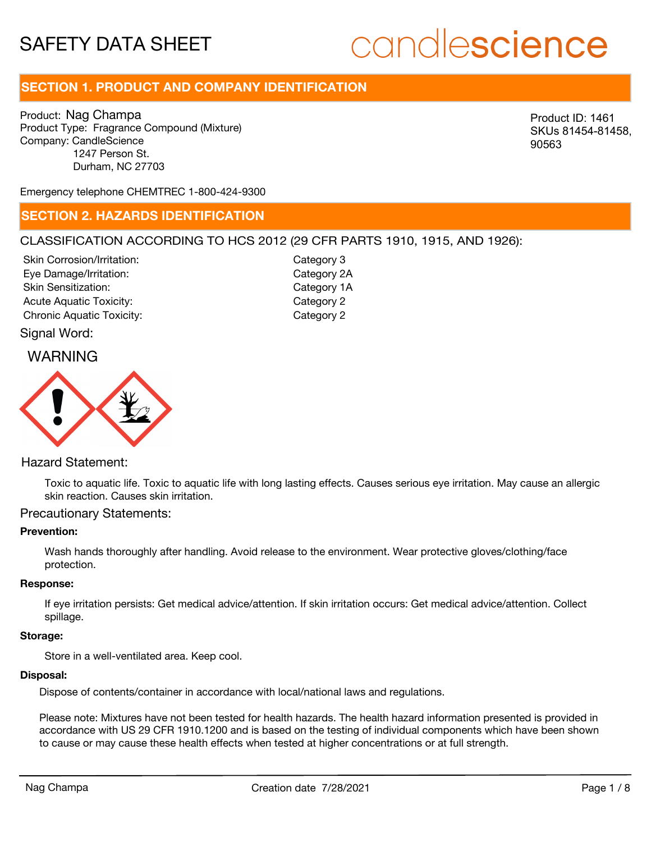# candlescience

## **SECTION 1. PRODUCT AND COMPANY IDENTIFICATION**

Product: Nag Champa Product Type: Fragrance Compound (Mixture) Company: CandleScience 1247 Person St. Durham, NC 27703

Product ID: 1461 SKUs 81454-81458, 90563

Emergency telephone CHEMTREC 1-800-424-9300

#### **SECTION 2. HAZARDS IDENTIFICATION**

#### CLASSIFICATION ACCORDING TO HCS 2012 (29 CFR PARTS 1910, 1915, AND 1926):

Skin Corrosion/Irritation: Eye Damage/Irritation: Skin Sensitization: Acute Aquatic Toxicity: Category 2 Chronic Aquatic Toxicity: Chronic Aquatic Toxicity:

Category 3 Category 2A Category 1A

# Signal Word:



#### Hazard Statement:

Toxic to aquatic life. Toxic to aquatic life with long lasting effects. Causes serious eye irritation. May cause an allergic skin reaction. Causes skin irritation.

#### Precautionary Statements:

#### **Prevention:**

Wash hands thoroughly after handling. Avoid release to the environment. Wear protective gloves/clothing/face protection.

#### **Response:**

If eye irritation persists: Get medical advice/attention. If skin irritation occurs: Get medical advice/attention. Collect spillage.

#### **Storage:**

Store in a well-ventilated area. Keep cool.

#### **Disposal:**

Dispose of contents/container in accordance with local/national laws and regulations.

Please note: Mixtures have not been tested for health hazards. The health hazard information presented is provided in accordance with US 29 CFR 1910.1200 and is based on the testing of individual components which have been shown to cause or may cause these health effects when tested at higher concentrations or at full strength.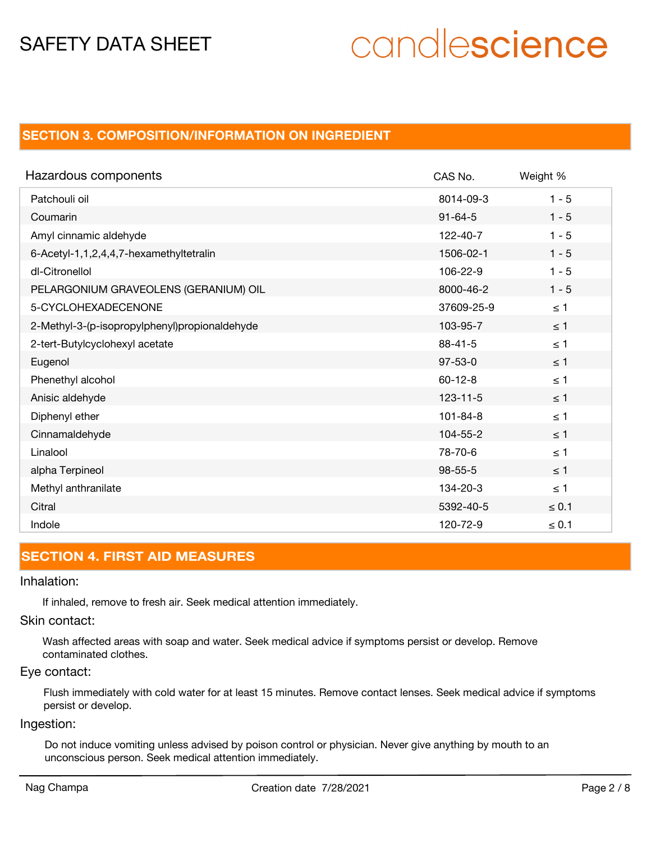# candlescience

## **SECTION 3. COMPOSITION/INFORMATION ON INGREDIENT**

| Hazardous components                          | CAS No.        | Weight %   |
|-----------------------------------------------|----------------|------------|
| Patchouli oil                                 | 8014-09-3      | $1 - 5$    |
| Coumarin                                      | $91 - 64 - 5$  | $1 - 5$    |
| Amyl cinnamic aldehyde                        | 122-40-7       | $1 - 5$    |
| 6-Acetyl-1,1,2,4,4,7-hexamethyltetralin       | 1506-02-1      | $1 - 5$    |
| dl-Citronellol                                | 106-22-9       | $1 - 5$    |
| PELARGONIUM GRAVEOLENS (GERANIUM) OIL         | 8000-46-2      | $1 - 5$    |
| 5-CYCLOHEXADECENONE                           | 37609-25-9     | $\leq 1$   |
| 2-Methyl-3-(p-isopropylphenyl)propionaldehyde | 103-95-7       | $\leq$ 1   |
| 2-tert-Butylcyclohexyl acetate                | $88 - 41 - 5$  | $\leq 1$   |
| Eugenol                                       | $97 - 53 - 0$  | $\leq$ 1   |
| Phenethyl alcohol                             | $60 - 12 - 8$  | $\leq 1$   |
| Anisic aldehyde                               | $123 - 11 - 5$ | $\leq$ 1   |
| Diphenyl ether                                | $101 - 84 - 8$ | $\leq 1$   |
| Cinnamaldehyde                                | 104-55-2       | $\leq 1$   |
| Linalool                                      | 78-70-6        | $\leq 1$   |
| alpha Terpineol                               | $98 - 55 - 5$  | $\leq$ 1   |
| Methyl anthranilate                           | 134-20-3       | $\leq 1$   |
| Citral                                        | 5392-40-5      | $\leq 0.1$ |
| Indole                                        | 120-72-9       | $\leq 0.1$ |

## **SECTION 4. FIRST AID MEASURES**

#### Inhalation:

If inhaled, remove to fresh air. Seek medical attention immediately.

#### Skin contact:

Wash affected areas with soap and water. Seek medical advice if symptoms persist or develop. Remove contaminated clothes.

#### Eye contact:

Flush immediately with cold water for at least 15 minutes. Remove contact lenses. Seek medical advice if symptoms persist or develop.

### Ingestion:

Do not induce vomiting unless advised by poison control or physician. Never give anything by mouth to an unconscious person. Seek medical attention immediately.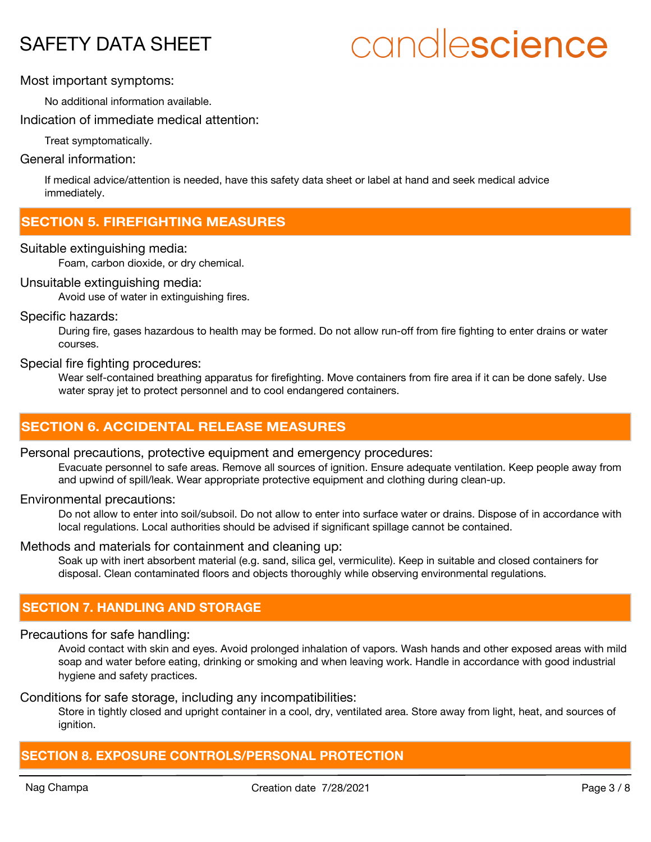# candlescience

#### Most important symptoms:

No additional information available.

Indication of immediate medical attention:

Treat symptomatically.

#### General information:

If medical advice/attention is needed, have this safety data sheet or label at hand and seek medical advice immediately.

## **SECTION 5. FIREFIGHTING MEASURES**

#### Suitable extinguishing media:

Foam, carbon dioxide, or dry chemical.

#### Unsuitable extinguishing media:

Avoid use of water in extinguishing fires.

#### Specific hazards:

During fire, gases hazardous to health may be formed. Do not allow run-off from fire fighting to enter drains or water courses.

#### Special fire fighting procedures:

Wear self-contained breathing apparatus for firefighting. Move containers from fire area if it can be done safely. Use water spray jet to protect personnel and to cool endangered containers.

## **SECTION 6. ACCIDENTAL RELEASE MEASURES**

#### Personal precautions, protective equipment and emergency procedures:

Evacuate personnel to safe areas. Remove all sources of ignition. Ensure adequate ventilation. Keep people away from and upwind of spill/leak. Wear appropriate protective equipment and clothing during clean-up.

#### Environmental precautions:

Do not allow to enter into soil/subsoil. Do not allow to enter into surface water or drains. Dispose of in accordance with local regulations. Local authorities should be advised if significant spillage cannot be contained.

#### Methods and materials for containment and cleaning up:

Soak up with inert absorbent material (e.g. sand, silica gel, vermiculite). Keep in suitable and closed containers for disposal. Clean contaminated floors and objects thoroughly while observing environmental regulations.

## **SECTION 7. HANDLING AND STORAGE**

#### Precautions for safe handling:

Avoid contact with skin and eyes. Avoid prolonged inhalation of vapors. Wash hands and other exposed areas with mild soap and water before eating, drinking or smoking and when leaving work. Handle in accordance with good industrial hygiene and safety practices.

#### Conditions for safe storage, including any incompatibilities:

Store in tightly closed and upright container in a cool, dry, ventilated area. Store away from light, heat, and sources of ianition.

## **SECTION 8. EXPOSURE CONTROLS/PERSONAL PROTECTION**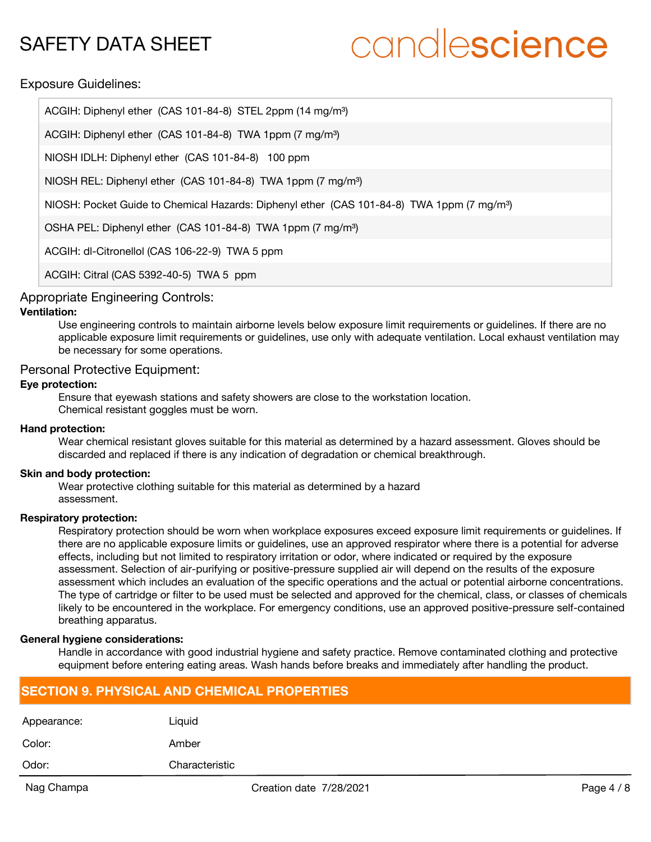# candlescience

#### Exposure Guidelines:

| ACGIH: Diphenyl ether (CAS 101-84-8) STEL 2ppm (14 mg/m <sup>3</sup> )                                 |
|--------------------------------------------------------------------------------------------------------|
| ACGIH: Diphenyl ether (CAS 101-84-8) TWA 1ppm (7 mg/m <sup>3</sup> )                                   |
| NIOSH IDLH: Diphenyl ether (CAS 101-84-8) 100 ppm                                                      |
| NIOSH REL: Diphenyl ether (CAS 101-84-8) TWA 1ppm (7 mg/m <sup>3</sup> )                               |
| NIOSH: Pocket Guide to Chemical Hazards: Diphenyl ether (CAS 101-84-8) TWA 1ppm (7 mg/m <sup>3</sup> ) |
| OSHA PEL: Diphenyl ether (CAS 101-84-8) TWA 1ppm (7 mg/m <sup>3</sup> )                                |
| ACGIH: dl-Citronellol (CAS 106-22-9) TWA 5 ppm                                                         |
|                                                                                                        |

ACGIH: Citral (CAS 5392-40-5) TWA 5 ppm

#### Appropriate Engineering Controls:

#### **Ventilation:**

Use engineering controls to maintain airborne levels below exposure limit requirements or guidelines. If there are no applicable exposure limit requirements or guidelines, use only with adequate ventilation. Local exhaust ventilation may be necessary for some operations.

#### Personal Protective Equipment:

#### **Eye protection:**

Ensure that eyewash stations and safety showers are close to the workstation location. Chemical resistant goggles must be worn.

#### **Hand protection:**

Wear chemical resistant gloves suitable for this material as determined by a hazard assessment. Gloves should be discarded and replaced if there is any indication of degradation or chemical breakthrough.

#### **Skin and body protection:**

Wear protective clothing suitable for this material as determined by a hazard assessment.

#### **Respiratory protection:**

Respiratory protection should be worn when workplace exposures exceed exposure limit requirements or guidelines. If there are no applicable exposure limits or guidelines, use an approved respirator where there is a potential for adverse effects, including but not limited to respiratory irritation or odor, where indicated or required by the exposure assessment. Selection of air-purifying or positive-pressure supplied air will depend on the results of the exposure assessment which includes an evaluation of the specific operations and the actual or potential airborne concentrations. The type of cartridge or filter to be used must be selected and approved for the chemical, class, or classes of chemicals likely to be encountered in the workplace. For emergency conditions, use an approved positive-pressure self-contained breathing apparatus.

#### **General hygiene considerations:**

Handle in accordance with good industrial hygiene and safety practice. Remove contaminated clothing and protective equipment before entering eating areas. Wash hands before breaks and immediately after handling the product.

## **SECTION 9. PHYSICAL AND CHEMICAL PROPERTIES**

| Odor:       | Characteristic |
|-------------|----------------|
| Color:      | Amber          |
| Appearance: | Liquid         |
|             |                |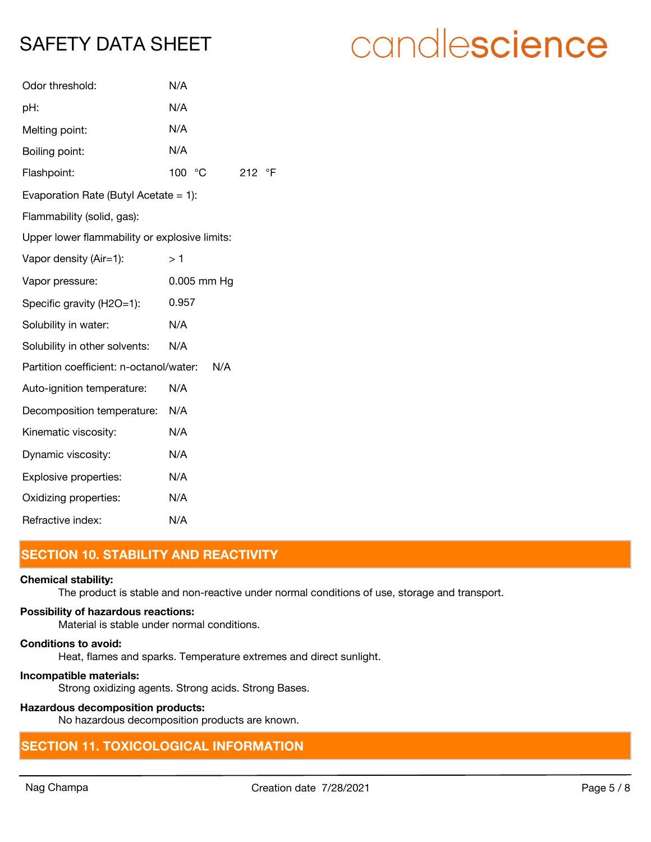| Odor threshold:                               | N/A         |     |           |
|-----------------------------------------------|-------------|-----|-----------|
| pH:                                           | N/A         |     |           |
| Melting point:                                | N/A         |     |           |
| Boiling point:                                | N/A         |     |           |
| Flashpoint:                                   | 100 °C      | 212 | $\circ$ F |
| Evaporation Rate (Butyl Acetate $= 1$ ):      |             |     |           |
| Flammability (solid, gas):                    |             |     |           |
| Upper lower flammability or explosive limits: |             |     |           |
| Vapor density (Air=1):                        | >1          |     |           |
| Vapor pressure:                               | 0.005 mm Hg |     |           |
| Specific gravity (H2O=1):                     | 0.957       |     |           |
| Solubility in water:                          | N/A         |     |           |
| Solubility in other solvents:                 | N/A         |     |           |
| Partition coefficient: n-octanol/water:       | N/A         |     |           |
| Auto-ignition temperature:                    | N/A         |     |           |
| Decomposition temperature:                    | N/A         |     |           |
| Kinematic viscosity:                          | N/A         |     |           |
| Dynamic viscosity:                            | N/A         |     |           |
| Explosive properties:                         | N/A         |     |           |
| Oxidizing properties:                         | N/A         |     |           |
| Refractive index:                             | N/A         |     |           |

# **SECTION 10. STABILITY AND REACTIVITY**

#### **Chemical stability:**

The product is stable and non-reactive under normal conditions of use, storage and transport.

#### **Possibility of hazardous reactions:**

Material is stable under normal conditions.

#### **Conditions to avoid:**

Heat, flames and sparks. Temperature extremes and direct sunlight.

#### **Incompatible materials:**

Strong oxidizing agents. Strong acids. Strong Bases.

### **Hazardous decomposition products:**

No hazardous decomposition products are known.

## **SECTION 11. TOXICOLOGICAL INFORMATION**

# candlescience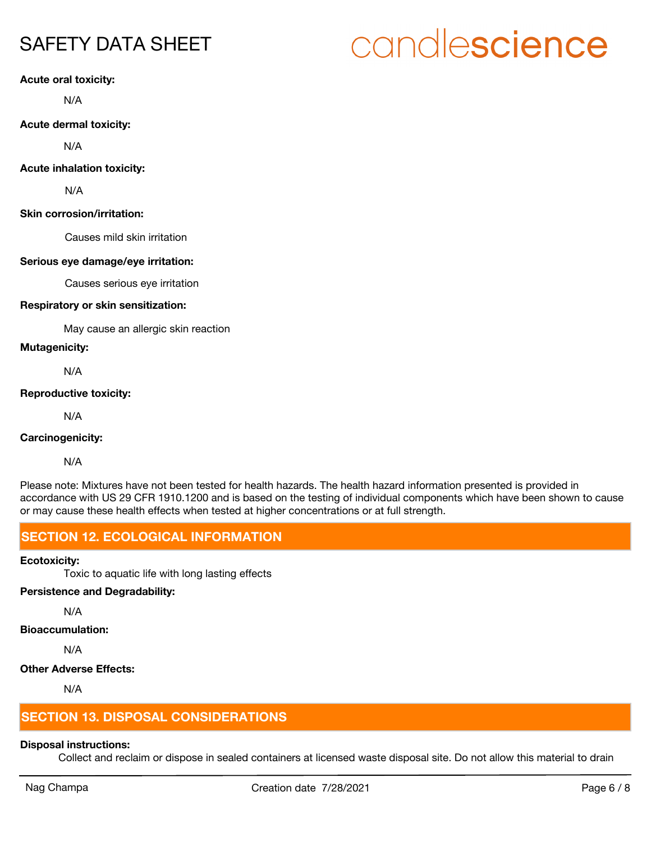#### **Acute oral toxicity:**

N/A

**Acute dermal toxicity:**

N/A

#### **Acute inhalation toxicity:**

N/A

#### **Skin corrosion/irritation:**

Causes mild skin irritation

#### **Serious eye damage/eye irritation:**

Causes serious eye irritation

#### **Respiratory or skin sensitization:**

May cause an allergic skin reaction

**Mutagenicity:**

N/A

#### **Reproductive toxicity:**

N/A

#### **Carcinogenicity:**

N/A

Please note: Mixtures have not been tested for health hazards. The health hazard information presented is provided in accordance with US 29 CFR 1910.1200 and is based on the testing of individual components which have been shown to cause or may cause these health effects when tested at higher concentrations or at full strength.

## **SECTION 12. ECOLOGICAL INFORMATION**

#### **Ecotoxicity:**

Toxic to aquatic life with long lasting effects

### **Persistence and Degradability:**

N/A

#### **Bioaccumulation:**

N/A

#### **Other Adverse Effects:**

N/A

# **SECTION 13. DISPOSAL CONSIDERATIONS**

### **Disposal instructions:**

Collect and reclaim or dispose in sealed containers at licensed waste disposal site. Do not allow this material to drain

# candlescience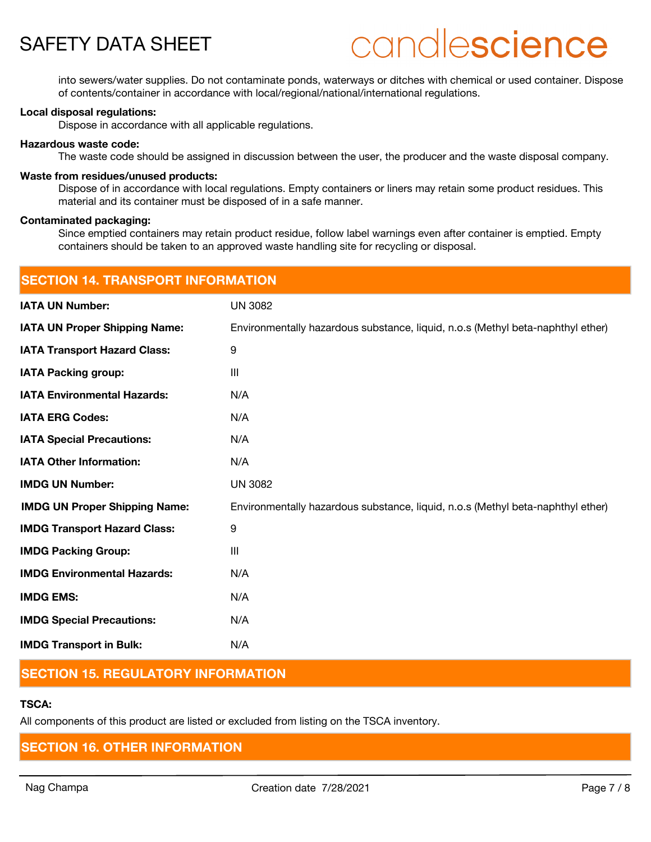# candlescience

into sewers/water supplies. Do not contaminate ponds, waterways or ditches with chemical or used container. Dispose of contents/container in accordance with local/regional/national/international regulations.

#### **Local disposal regulations:**

Dispose in accordance with all applicable regulations.

#### **Hazardous waste code:**

The waste code should be assigned in discussion between the user, the producer and the waste disposal company.

#### **Waste from residues/unused products:**

Dispose of in accordance with local regulations. Empty containers or liners may retain some product residues. This material and its container must be disposed of in a safe manner.

#### **Contaminated packaging:**

Since emptied containers may retain product residue, follow label warnings even after container is emptied. Empty containers should be taken to an approved waste handling site for recycling or disposal.

| <b>SECTION 14. TRANSPORT INFORMATION</b> |                                                                                 |  |  |
|------------------------------------------|---------------------------------------------------------------------------------|--|--|
| <b>IATA UN Number:</b>                   | <b>UN 3082</b>                                                                  |  |  |
| <b>IATA UN Proper Shipping Name:</b>     | Environmentally hazardous substance, liquid, n.o.s (Methyl beta-naphthyl ether) |  |  |
| <b>IATA Transport Hazard Class:</b>      | 9                                                                               |  |  |
| <b>IATA Packing group:</b>               | $\mathbf{III}$                                                                  |  |  |
| <b>IATA Environmental Hazards:</b>       | N/A                                                                             |  |  |
| <b>IATA ERG Codes:</b>                   | N/A                                                                             |  |  |
| <b>IATA Special Precautions:</b>         | N/A                                                                             |  |  |
| <b>IATA Other Information:</b>           | N/A                                                                             |  |  |
| <b>IMDG UN Number:</b>                   | <b>UN 3082</b>                                                                  |  |  |
| <b>IMDG UN Proper Shipping Name:</b>     | Environmentally hazardous substance, liquid, n.o.s (Methyl beta-naphthyl ether) |  |  |
| <b>IMDG Transport Hazard Class:</b>      | 9                                                                               |  |  |
| <b>IMDG Packing Group:</b>               | III                                                                             |  |  |
| <b>IMDG Environmental Hazards:</b>       | N/A                                                                             |  |  |
| <b>IMDG EMS:</b>                         | N/A                                                                             |  |  |
| <b>IMDG Special Precautions:</b>         | N/A                                                                             |  |  |
| <b>IMDG Transport in Bulk:</b>           | N/A                                                                             |  |  |

## **SECTION 15. REGULATORY INFORMATION**

#### **TSCA:**

All components of this product are listed or excluded from listing on the TSCA inventory.

### **SECTION 16. OTHER INFORMATION**